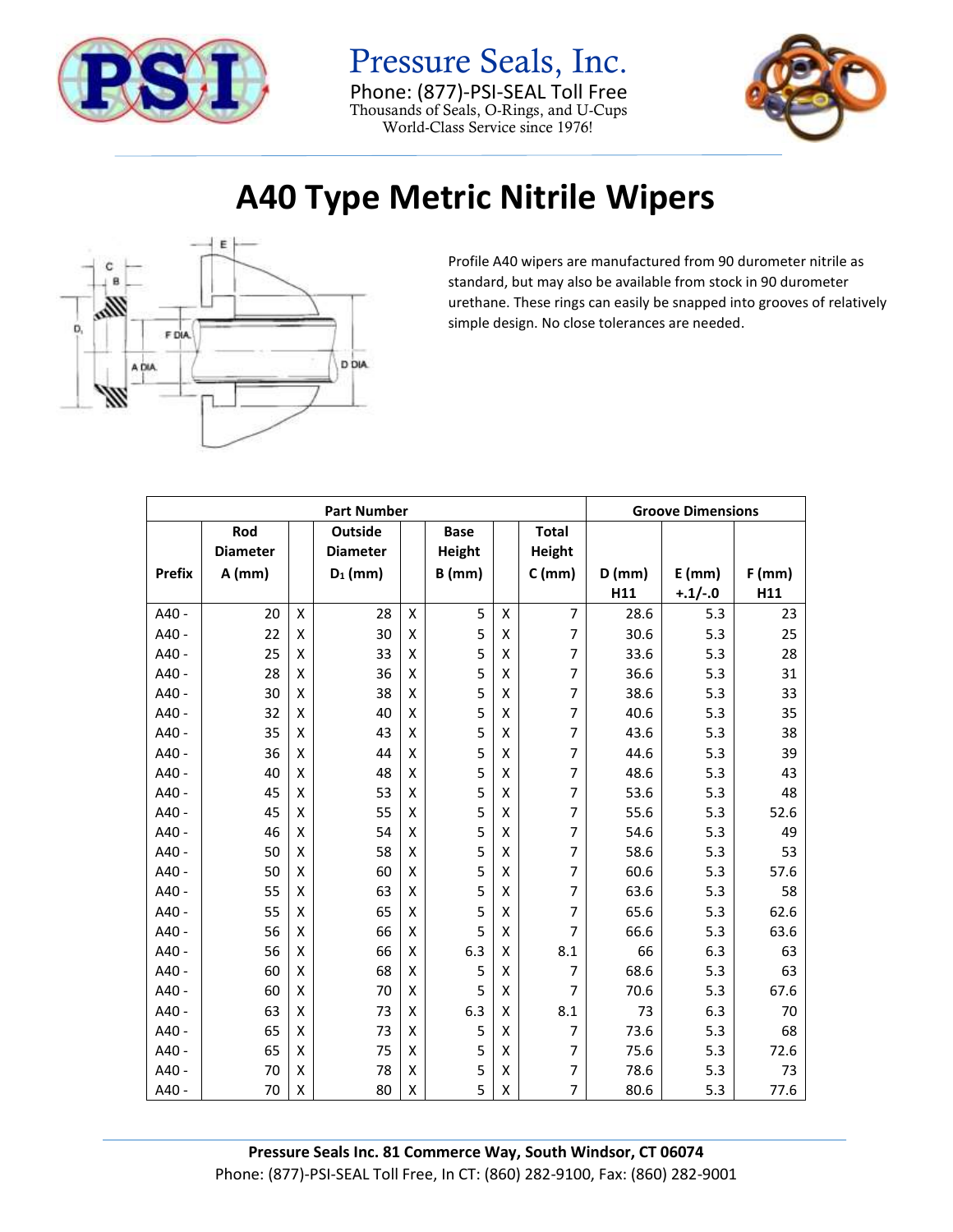

Pressure Seals, Inc. Phone: (877)-PSI-SEAL Toll Free Thousands of Seals, O-Rings, and U-Cups World-Class Service since 1976!



## **A40 Type Metric Nitrile Wipers**



Profile A40 wipers are manufactured from 90 durometer nitrile as standard, but may also be available from stock in 90 durometer urethane. These rings can easily be snapped into grooves of relatively simple design. No close tolerances are needed.

| <b>Part Number</b> |                 |   |                 |   |               |   |                          |          | <b>Groove Dimensions</b> |          |  |
|--------------------|-----------------|---|-----------------|---|---------------|---|--------------------------|----------|--------------------------|----------|--|
|                    | Rod             |   | Outside         |   | <b>Base</b>   |   | <b>Total</b>             |          |                          |          |  |
|                    | <b>Diameter</b> |   | <b>Diameter</b> |   | <b>Height</b> |   | Height                   |          |                          |          |  |
| <b>Prefix</b>      | $A$ (mm)        |   | $D_1$ (mm)      |   | $B$ (mm)      |   | $C$ (mm)                 | $D$ (mm) | $E$ (mm)                 | $F$ (mm) |  |
|                    |                 |   |                 |   |               |   |                          | H11      | $+.1/-.0$                | H11      |  |
| A40 -              | 20              | X | 28              | X | 5             | X | $\overline{7}$           | 28.6     | 5.3                      | 23       |  |
| A40 -              | 22              | X | 30              | X | 5             | X | 7                        | 30.6     | 5.3                      | 25       |  |
| A40 -              | 25              | Χ | 33              | X | 5             | Х | $\overline{\phantom{a}}$ | 33.6     | 5.3                      | 28       |  |
| A40 -              | 28              | X | 36              | X | 5             | X | 7                        | 36.6     | 5.3                      | 31       |  |
| $A40 -$            | 30              | X | 38              | X | 5             | X | 7                        | 38.6     | 5.3                      | 33       |  |
| A40 -              | 32              | Χ | 40              | X | 5             | X | 7                        | 40.6     | 5.3                      | 35       |  |
| A40 -              | 35              | Χ | 43              | X | 5             | X | $\overline{\phantom{a}}$ | 43.6     | 5.3                      | 38       |  |
| A40 -              | 36              | X | 44              | X | 5             | х | $\overline{7}$           | 44.6     | 5.3                      | 39       |  |
| $A40 -$            | 40              | X | 48              | X | 5             | X | 7                        | 48.6     | 5.3                      | 43       |  |
| A40 -              | 45              | Χ | 53              | X | 5             | X | 7                        | 53.6     | 5.3                      | 48       |  |
| A40 -              | 45              | X | 55              | X | 5             | X | $\overline{\phantom{a}}$ | 55.6     | 5.3                      | 52.6     |  |
| A40 -              | 46              | X | 54              | X | 5             | X | $\overline{7}$           | 54.6     | 5.3                      | 49       |  |
| $A40 -$            | 50              | X | 58              | X | 5             | X | 7                        | 58.6     | 5.3                      | 53       |  |
| A40 -              | 50              | Χ | 60              | X | 5             | X | 7                        | 60.6     | 5.3                      | 57.6     |  |
| A40 -              | 55              | х | 63              | X | 5             | Х | 7                        | 63.6     | 5.3                      | 58       |  |
| A40 -              | 55              | X | 65              | X | 5             | Х | $\overline{7}$           | 65.6     | 5.3                      | 62.6     |  |
| $A40 -$            | 56              | X | 66              | X | 5             | X | 7                        | 66.6     | 5.3                      | 63.6     |  |
| A40 -              | 56              | X | 66              | X | 6.3           | X | 8.1                      | 66       | 6.3                      | 63       |  |
| $A40 -$            | 60              | X | 68              | X | 5             | X | 7                        | 68.6     | 5.3                      | 63       |  |
| A40 -              | 60              | X | 70              | X | 5             | X | $\overline{7}$           | 70.6     | 5.3                      | 67.6     |  |
| $A40 -$            | 63              | X | 73              | X | 6.3           | X | 8.1                      | 73       | 6.3                      | 70       |  |
| A40 -              | 65              | Χ | 73              | X | 5             | X | $\overline{7}$           | 73.6     | 5.3                      | 68       |  |
| $A40 -$            | 65              | X | 75              | X | 5             | X | 7                        | 75.6     | 5.3                      | 72.6     |  |
| A40 -              | 70              | Χ | 78              | Χ | 5             | X | $\overline{7}$           | 78.6     | 5.3                      | 73       |  |
| A40 -              | 70              | X | 80              | X | 5             | X | 7                        | 80.6     | 5.3                      | 77.6     |  |